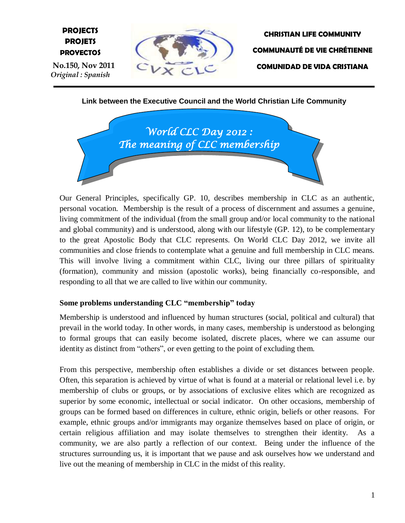# **E PROJETS PROJECTS PROYECTOS**

 **No.150, Nov 2011** *Original : Spanish*



**CHRISTIAN LIFE COMMUNITY COMMUNAUTÉ DE VIE CHRÉTIENNE COMUNIDAD DE VIDA CRISTIANA**

**Link between the Executive Council and the World Christian Life Community**



Our General Principles, specifically GP. 10, describes membership in CLC as an authentic, personal vocation. Membership is the result of a process of discernment and assumes a genuine, living commitment of the individual (from the small group and/or local community to the national and global community) and is understood, along with our lifestyle (GP. 12), to be complementary to the great Apostolic Body that CLC represents. On World CLC Day 2012, we invite all communities and close friends to contemplate what a genuine and full membership in CLC means. This will involve living a commitment within CLC, living our three pillars of spirituality (formation), community and mission (apostolic works), being financially co-responsible, and responding to all that we are called to live within our community.

## **Some problems understanding CLC "membership" today**

Membership is understood and influenced by human structures (social, political and cultural) that prevail in the world today. In other words, in many cases, membership is understood as belonging to formal groups that can easily become isolated, discrete places, where we can assume our identity as distinct from "others", or even getting to the point of excluding them.

From this perspective, membership often establishes a divide or set distances between people. Often, this separation is achieved by virtue of what is found at a material or relational level i.e. by membership of clubs or groups, or by associations of exclusive elites which are recognized as superior by some economic, intellectual or social indicator. On other occasions, membership of groups can be formed based on differences in culture, ethnic origin, beliefs or other reasons. For example, ethnic groups and/or immigrants may organize themselves based on place of origin, or certain religious affiliation and may isolate themselves to strengthen their identity. As a community, we are also partly a reflection of our context. Being under the influence of the structures surrounding us, it is important that we pause and ask ourselves how we understand and live out the meaning of membership in CLC in the midst of this reality.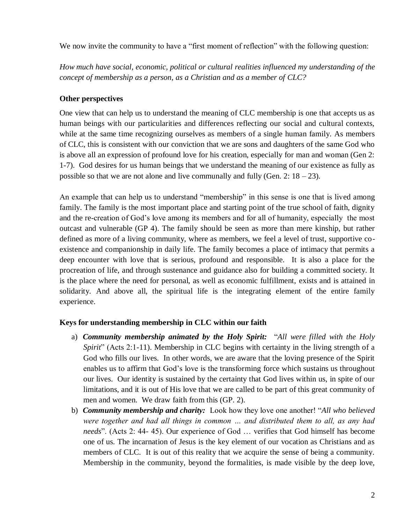We now invite the community to have a "first moment of reflection" with the following question:

*How much have social, economic, political or cultural realities influenced my understanding of the concept of membership as a person, as a Christian and as a member of CLC?*

## **Other perspectives**

One view that can help us to understand the meaning of CLC membership is one that accepts us as human beings with our particularities and differences reflecting our social and cultural contexts, while at the same time recognizing ourselves as members of a single human family. As members of CLC, this is consistent with our conviction that we are sons and daughters of the same God who is above all an expression of profound love for his creation, especially for man and woman (Gen 2: 1-7). God desires for us human beings that we understand the meaning of our existence as fully as possible so that we are not alone and live communally and fully (Gen. 2:  $18 - 23$ ).

An example that can help us to understand "membership" in this sense is one that is lived among family. The family is the most important place and starting point of the true school of faith, dignity and the re-creation of God's love among its members and for all of humanity, especially the most outcast and vulnerable (GP 4). The family should be seen as more than mere kinship, but rather defined as more of a living community, where as members, we feel a level of trust, supportive coexistence and companionship in daily life. The family becomes a place of intimacy that permits a deep encounter with love that is serious, profound and responsible. It is also a place for the procreation of life, and through sustenance and guidance also for building a committed society. It is the place where the need for personal, as well as economic fulfillment, exists and is attained in solidarity. And above all, the spiritual life is the integrating element of the entire family experience.

## **Keys for understanding membership in CLC within our faith**

- a) *Community membership animated by the Holy Spirit:* "*All were filled with the Holy Spirit*" (Acts 2:1-11). Membership in CLC begins with certainty in the living strength of a God who fills our lives. In other words, we are aware that the loving presence of the Spirit enables us to affirm that God's love is the transforming force which sustains us throughout our lives. Our identity is sustained by the certainty that God lives within us, in spite of our limitations, and it is out of His love that we are called to be part of this great community of men and women. We draw faith from this (GP. 2).
- b) *Community membership and charity:* Look how they love one another! "*All who believed were together and had all things in common … and distributed them to all, as any had needs*". (Acts 2: 44- 45). Our experience of God … verifies that God himself has become one of us. The incarnation of Jesus is the key element of our vocation as Christians and as members of CLC. It is out of this reality that we acquire the sense of being a community. Membership in the community, beyond the formalities, is made visible by the deep love,